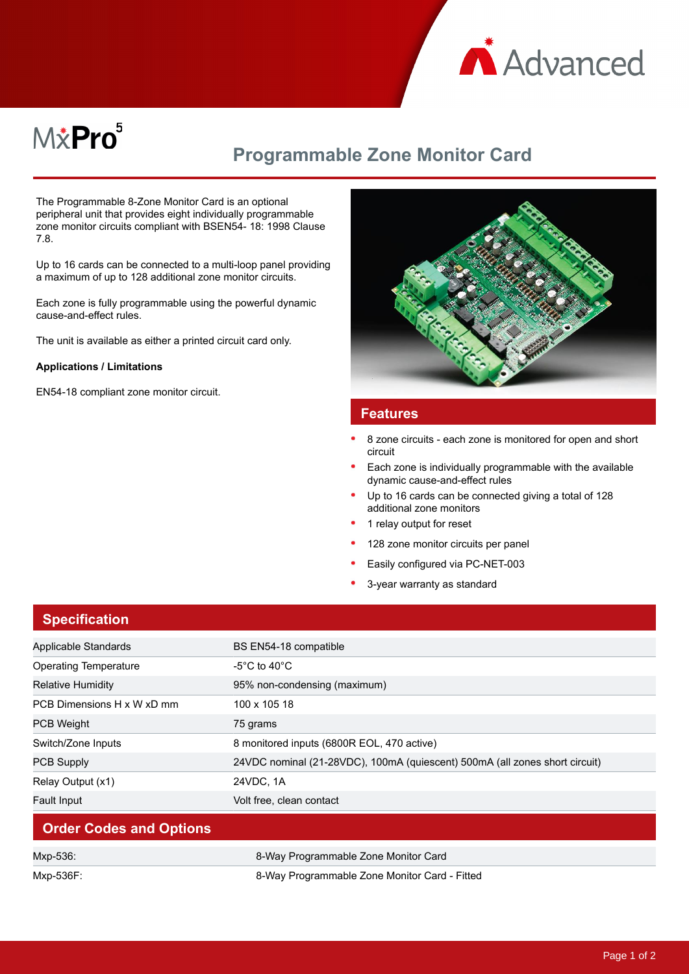

# M&Pro<sup>5</sup>

## **Programmable Zone Monitor Card**

The Programmable 8-Zone Monitor Card is an optional peripheral unit that provides eight individually programmable zone monitor circuits compliant with BSEN54- 18: 1998 Clause 7.8.

Up to 16 cards can be connected to a multi-loop panel providing a maximum of up to 128 additional zone monitor circuits.

Each zone is fully programmable using the powerful dynamic cause-and-effect rules.

The unit is available as either a printed circuit card only.

#### **Applications / Limitations**

EN54-18 compliant zone monitor circuit.



#### **Features**

- 8 zone circuits each zone is monitored for open and short circuit
- Each zone is individually programmable with the available dynamic cause-and-effect rules
- Up to 16 cards can be connected giving a total of 128 additional zone monitors
- 1 relay output for reset
- 128 zone monitor circuits per panel
- Easily configured via PC-NET-003
- 3-year warranty as standard

| <b>Specification</b>           |                                                                             |
|--------------------------------|-----------------------------------------------------------------------------|
| Applicable Standards           | BS EN54-18 compatible                                                       |
| <b>Operating Temperature</b>   | -5°C to 40°C                                                                |
| <b>Relative Humidity</b>       | 95% non-condensing (maximum)                                                |
| PCB Dimensions H x W xD mm     | 100 x 105 18                                                                |
| <b>PCB Weight</b>              | 75 grams                                                                    |
| Switch/Zone Inputs             | 8 monitored inputs (6800R EOL, 470 active)                                  |
| <b>PCB Supply</b>              | 24VDC nominal (21-28VDC), 100mA (quiescent) 500mA (all zones short circuit) |
| Relay Output (x1)              | 24VDC, 1A                                                                   |
| <b>Fault Input</b>             | Volt free, clean contact                                                    |
| <b>Order Codes and Options</b> |                                                                             |
| Mxp-536:                       | 8-Way Programmable Zone Monitor Card                                        |
| Mxp-536F:                      | 8-Way Programmable Zone Monitor Card - Fitted                               |